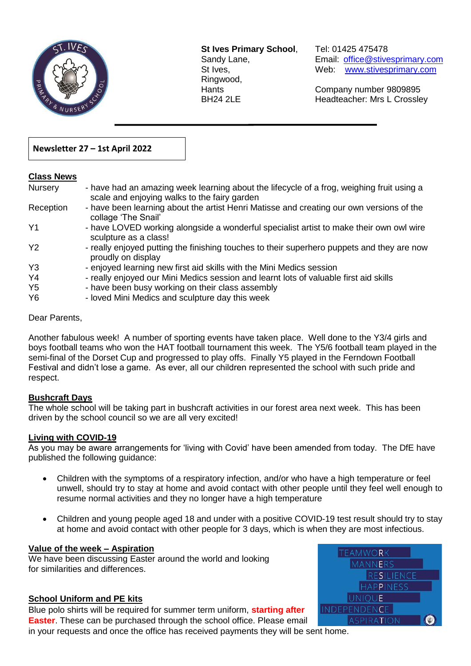

**St Ives Primary School**, Tel: 01425 475478 Ringwood,

Sandy Lane, Email: office@stivesprimary.com St Ives, [www.stivesprimary.com](http://www.stives.dorset.sch.uk/)

Hants Company number 9809895 BH24 2LE Headteacher: Mrs L Crossley

## **Newsletter 27 – 1st April 2022**

#### **Class News**

| <b>Nursery</b> | - have had an amazing week learning about the lifecycle of a frog, weighing fruit using a<br>scale and enjoying walks to the fairy garden |
|----------------|-------------------------------------------------------------------------------------------------------------------------------------------|
| Reception      | - have been learning about the artist Henri Matisse and creating our own versions of the<br>collage 'The Snail'                           |
| Y <sub>1</sub> | - have LOVED working alongside a wonderful specialist artist to make their own owl wire<br>sculpture as a class!                          |
| <b>Y2</b>      | - really enjoyed putting the finishing touches to their superhero puppets and they are now<br>proudly on display                          |
| Y <sub>3</sub> | - enjoyed learning new first aid skills with the Mini Medics session                                                                      |
| Y4             | - really enjoyed our Mini Medics session and learnt lots of valuable first aid skills                                                     |
| Y <sub>5</sub> | - have been busy working on their class assembly                                                                                          |
| Y6             | - loved Mini Medics and sculpture day this week                                                                                           |

 $\overline{a}$ 

### Dear Parents,

Another fabulous week! A number of sporting events have taken place. Well done to the Y3/4 girls and boys football teams who won the HAT football tournament this week. The Y5/6 football team played in the semi-final of the Dorset Cup and progressed to play offs. Finally Y5 played in the Ferndown Football Festival and didn't lose a game. As ever, all our children represented the school with such pride and respect.

### **Bushcraft Days**

The whole school will be taking part in bushcraft activities in our forest area next week. This has been driven by the school council so we are all very excited!

### **Living with COVID-19**

As you may be aware arrangements for 'living with Covid' have been amended from today. The DfE have published the following guidance:

- Children with the symptoms of a respiratory infection, and/or who have a high temperature or feel unwell, should try to stay at home and avoid contact with other people until they feel well enough to resume normal activities and they no longer have a high temperature
- Children and young people aged 18 and under with a positive COVID-19 test result should try to stay at home and avoid contact with other people for 3 days, which is when they are most infectious.

#### **Value of the week – Aspiration**

We have been discussing Easter around the world and looking for similarities and differences.

### **School Uniform and PE kits**

Blue polo shirts will be required for summer term uniform, **starting after Easter**. These can be purchased through the school office. Please email in your requests and once the office has received payments they will be sent home.